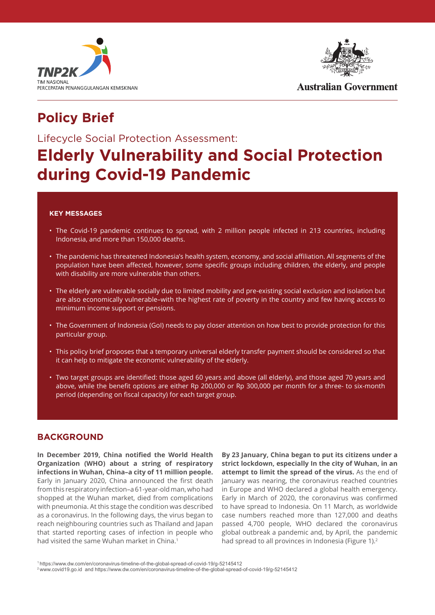



**Australian Government** 

## **Policy Brief**

### Lifecycle Social Protection Assessment:

# **Elderly Vulnerability and Social Protection during Covid-19 Pandemic**

#### **KEY MESSAGES**

- The Covid-19 pandemic continues to spread, with 2 million people infected in 213 countries, including Indonesia, and more than 150,000 deaths.
- • The pandemic has threatened Indonesia's health system, economy, and social affiliation. All segments of the population have been affected, however, some specific groups including children, the elderly, and people with disability are more vulnerable than others.
- The elderly are vulnerable socially due to limited mobility and pre-existing social exclusion and isolation but are also economically vulnerable–with the highest rate of poverty in the country and few having access to minimum income support or pensions.
- The Government of Indonesia (GoI) needs to pay closer attention on how best to provide protection for this particular group.
- This policy brief proposes that a temporary universal elderly transfer payment should be considered so that it can help to mitigate the economic vulnerability of the elderly.
- • Two target groups are identified: those aged 60 years and above (all elderly), and those aged 70 years and above, while the benefit options are either Rp 200,000 or Rp 300,000 per month for a three- to six-month period (depending on fiscal capacity) for each target group.

#### **BACKGROUND**

**In December 2019, China notified the World Health Organization (WHO) about a string of respiratory infections in Wuhan, China–a city of 11 million people.** Early in January 2020, China announced the first death from this respiratory infection–a 61-year-old man, who had shopped at the Wuhan market, died from complications with pneumonia. At this stage the condition was described as a coronavirus. In the following days, the virus began to reach neighbouring countries such as Thailand and Japan that started reporting cases of infection in people who had visited the same Wuhan market in China.1

**By 23 January, China began to put its citizens under a strict lockdown, especially In the city of Wuhan, in an attempt to limit the spread of the virus.** As the end of January was nearing, the coronavirus reached countries in Europe and WHO declared a global health emergency. Early in March of 2020, the coronavirus was confirmed to have spread to Indonesia. On 11 March, as worldwide case numbers reached more than 127,000 and deaths passed 4,700 people, WHO declared the coronavirus global outbreak a pandemic and, by April, the pandemic had spread to all provinces in Indonesia (Figure 1).<sup>2</sup>

<sup>1</sup> https://www.dw.com/en/coronavirus-timeline-of-the-global-spread-of-covid-19/g-52145412

<sup>2</sup> www.covid19.go.id and https://www.dw.com/en/coronavirus-timeline-of-the-global-spread-of-covid-19/g-52145412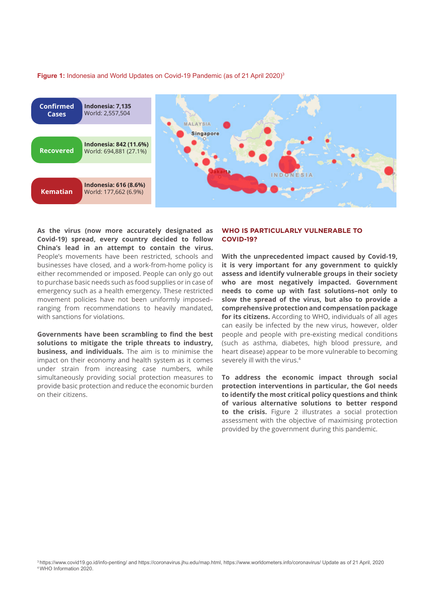Figure 1: Indonesia and World Updates on Covid-19 Pandemic (as of 21 April 2020)<sup>3</sup>



**As the virus (now more accurately designated as Covid-19) spread, every country decided to follow China's lead in an attempt to contain the virus.** People's movements have been restricted, schools and businesses have closed, and a work-from-home policy is either recommended or imposed. People can only go out to purchase basic needs such as food supplies or in case of emergency such as a health emergency. These restricted movement policies have not been uniformly imposed– ranging from recommendations to heavily mandated, with sanctions for violations.

**Governments have been scrambling to find the best solutions to mitigate the triple threats to industry, business, and individuals.** The aim is to minimise the impact on their economy and health system as it comes under strain from increasing case numbers, while simultaneously providing social protection measures to provide basic protection and reduce the economic burden on their citizens.

#### **WHO IS PARTICULARLY VULNERABLE TO COVID-19?**

**With the unprecedented impact caused by Covid-19, it is very important for any government to quickly assess and identify vulnerable groups in their society who are most negatively impacted. Government needs to come up with fast solutions–not only to slow the spread of the virus, but also to provide a comprehensive protection and compensation package for its citizens.** According to WHO, individuals of all ages can easily be infected by the new virus, however, older people and people with pre-existing medical conditions (such as asthma, diabetes, high blood pressure, and heart disease) appear to be more vulnerable to becoming severely ill with the virus.4

**To address the economic impact through social protection interventions in particular, the GoI needs to identify the most critical policy questions and think of various alternative solutions to better respond to the crisis.** Figure 2 illustrates a social protection assessment with the objective of maximising protection provided by the government during this pandemic.

<sup>3</sup> https://www.covid19.go.id/info-penting/ and https://coronavirus.jhu.edu/map.html, https://www.worldometers.info/coronavirus/ Update as of 21 April, 2020 4 WHO Information 2020.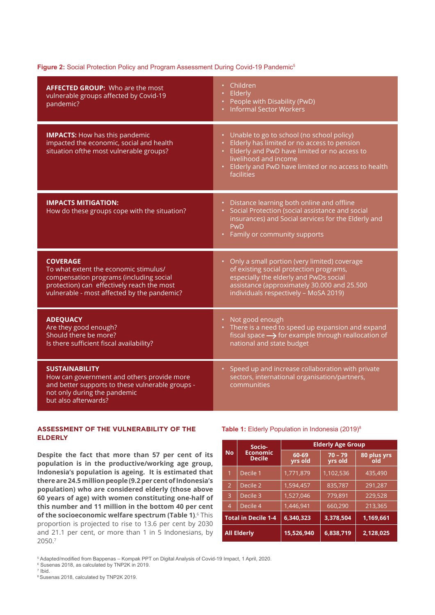#### Figure 2: Social Protection Policy and Program Assessment During Covid-19 Pandemic<sup>5</sup>

| <b>AFFECTED GROUP:</b> Who are the most<br>vulnerable groups affected by Covid-19<br>pandemic?                                                                                                   | Children<br>Elderly<br>People with Disability (PwD)<br><b>Informal Sector Workers</b>                                                                                                                                                  |
|--------------------------------------------------------------------------------------------------------------------------------------------------------------------------------------------------|----------------------------------------------------------------------------------------------------------------------------------------------------------------------------------------------------------------------------------------|
| <b>IMPACTS: How has this pandemic</b><br>impacted the economic, social and health<br>situation ofthe most vulnerable groups?                                                                     | Unable to go to school (no school policy)<br>Elderly has limited or no access to pension<br>Elderly and PwD have limited or no access to<br>livelihood and income<br>Elderly and PwD have limited or no access to health<br>facilities |
| <b>IMPACTS MITIGATION:</b><br>How do these groups cope with the situation?                                                                                                                       | Distance learning both online and offline<br>Social Protection (social assistance and social<br>insurances) and Social services for the Elderly and<br>PwD<br>Family or community supports<br>$\bullet$                                |
| <b>COVERAGE</b><br>To what extent the economic stimulus/<br>compensation programs (including social<br>protection) can effectively reach the most<br>vulnerable - most affected by the pandemic? | Only a small portion (very limited) coverage<br>$\bullet$<br>of existing social protection programs,<br>especially the elderly and PwDs social<br>assistance (approximately 30.000 and 25.500<br>individuals respectively - MoSA 2019) |
| <b>ADEQUACY</b><br>Are they good enough?<br>Should there be more?<br>Is there sufficient fiscal availability?                                                                                    | Not good enough<br>$\bullet$<br>• There is a need to speed up expansion and expand<br>fiscal space $\rightarrow$ for example through reallocation of<br>national and state budget                                                      |
| <b>SUSTAINABILITY</b><br>How can government and others provide more<br>and better supports to these vulnerable groups -<br>not only during the pandemic<br>but also afterwards?                  | Speed up and increase collaboration with private<br>$\bullet$ .<br>sectors, international organisation/partners,<br>communities                                                                                                        |

#### **ASSESSMENT OF THE VULNERABILITY OF THE ELDERLY**

**Despite the fact that more than 57 per cent of its population is in the productive/working age group, Indonesia's population is ageing. It is estimated that there are 24.5 million people (9.2 per cent of Indonesia's population) who are considered elderly (those above 60 years of age) with women constituting one-half of this number and 11 million in the bottom 40 per cent of the socioeconomic welfare spectrum (Table 1)**. <sup>6</sup> This proportion is projected to rise to 13.6 per cent by 2030 and 21.1 per cent, or more than 1 in 5 Indonesians, by 2050.<sup>7</sup>

#### Table 1: Elderly Population in Indonesia (2019)<sup>8</sup>

|                            | Socio-                           | <b>Elderly Age Group</b> |                      |                    |  |
|----------------------------|----------------------------------|--------------------------|----------------------|--------------------|--|
| <b>No</b>                  | <b>Economic</b><br><b>Decile</b> | 60-69<br>yrs old         | $70 - 79$<br>yrs old | 80 plus yrs<br>old |  |
| 1                          | Decile 1                         | 1,771,879                | 1,102,536            | 435,490            |  |
| $\overline{2}$             | Decile 2                         | 1,594,457                | 835,787              | 291,287            |  |
| 3                          | Decile 3                         | 1,527,046                | 779,891              | 229,528            |  |
| Decile 4<br>$\overline{4}$ |                                  | 1,446,941                | 660,290              | 213,365            |  |
| <b>Total in Decile 1-4</b> |                                  | 6,340,323                | 3,378,504            | 1,169,661          |  |
| <b>All Elderly</b>         |                                  | 15,526,940               | 6,838,719            | 2,128,025          |  |

5 Adapted/modified from Bappenas – Kompak PPT on Digital Analysis of Covid-19 Impact, 1 April, 2020.

6 Susenas 2018, as calculated by TNP2K in 2019.

7 Ibid.

8 Susenas 2018, calculated by TNP2K 2019.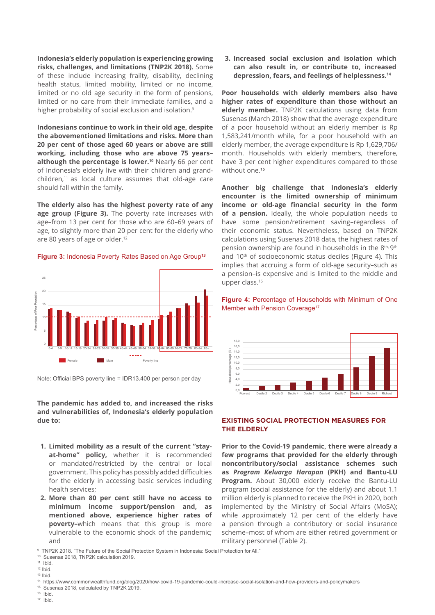**Indonesia's elderly population is experiencing growing risks, challenges, and limitations (TNP2K 2018).** Some of these include increasing frailty, disability, declining health status, limited mobility, limited or no income, limited or no old age security in the form of pensions, limited or no care from their immediate families, and a higher probability of social exclusion and isolation.<sup>9</sup>

**Indonesians continue to work in their old age, despite the abovementioned limitations and risks. More than 20 per cent of those aged 60 years or above are still working, including those who are above 75 years– although the percentage is lower.<sup>10</sup>** Nearly 66 per cent of Indonesia's elderly live with their children and grandchildren,11 as local culture assumes that old-age care should fall within the family.

**The elderly also has the highest poverty rate of any age group (Figure 3).** The poverty rate increases with age–from 13 per cent for those who are 60–69 years of age, to slightly more than 20 per cent for the elderly who are 80 years of age or older.<sup>12</sup>

**Figure 3:** Indonesia Poverty Rates Based on Age Group**<sup>13</sup>**



Note: Official BPS poverty line = IDR13.400 per person per day

**The pandemic has added to, and increased the risks and vulnerabilities of, Indonesia's elderly population due to:**

- **1. Limited mobility as a result of the current "stayat-home" policy,** whether it is recommended or mandated/restricted by the central or local government. This policy has possibly added difficulties for the elderly in accessing basic services including health services;
- **2. More than 80 per cent still have no access to minimum income support/pension and, as mentioned above, experience higher rates of poverty–**which means that this group is more vulnerable to the economic shock of the pandemic; and

**3. Increased social exclusion and isolation which can also result in, or contribute to, increased depression, fears, and feelings of helplessness.14**

**Poor households with elderly members also have higher rates of expenditure than those without an elderly member.** TNP2K calculations using data from Susenas (March 2018) show that the average expenditure of a poor household without an elderly member is Rp 1,583,241/month while, for a poor household with an elderly member, the average expenditure is Rp 1,629,706/ month. Households with elderly members, therefore, have 3 per cent higher expenditures compared to those without one.**<sup>15</sup>**

**Another big challenge that Indonesia's elderly encounter is the limited ownership of minimum income or old-age financial security in the form of a pension.** Ideally, the whole population needs to have some pension/retirement saving–regardless of their economic status. Nevertheless, based on TNP2K calculations using Susenas 2018 data, the highest rates of pension ownership are found in households in the 8th, 9th and 10<sup>th</sup> of socioeconomic status deciles (Figure 4). This implies that accruing a form of old-age security–such as a pension–is expensive and is limited to the middle and upper class.<sup>16</sup>

**Figure 4:** Percentage of Households with Minimum of One Member with Pension Coverage<sup>17</sup>



#### **EXISTING SOCIAL PROTECTION MEASURES FOR THE ELDERLY**

**Prior to the Covid-19 pandemic, there were already a few programs that provided for the elderly through noncontributory/social assistance schemes such as** *Program Keluarga Harapan* **(PKH) and Bantu-LU Program.** About 30,000 elderly receive the Bantu-LU program (social assistance for the elderly) and about 1.1 million elderly is planned to receive the PKH in 2020, both implemented by the Ministry of Social Affairs (MoSA); while approximately 12 per cent of the elderly have a pension through a contributory or social insurance scheme–most of whom are either retired government or military personnel (Table 2).

- <sup>15</sup> Susenas 2018, calculated by TNP2K 2019. 16 Ibid.
- 17 Ibid.

<sup>9</sup> TNP2K 2018. "The Future of the Social Protection System in Indonesia: Social Protection for All."

<sup>10</sup> Susenas 2018, TNP2K calculation 2019.

<sup>11</sup> Ibid.

 $12$  Ibid.

<sup>13</sup> Ibid.

<sup>14</sup> https://www.commonwealthfund.org/blog/2020/how-covid-19-pandemic-could-increase-social-isolation-and-how-providers-and-policymakers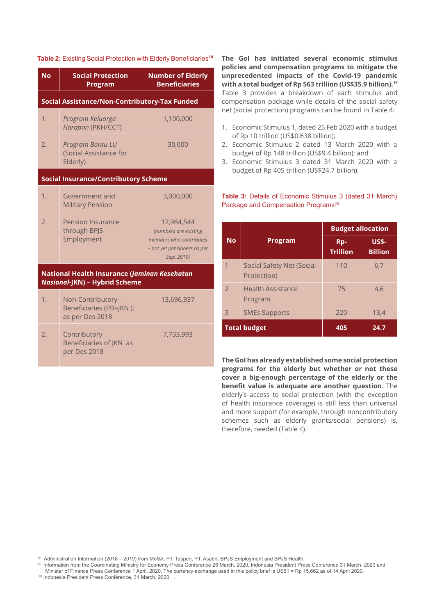| <b>No</b> | <b>Social Protection</b><br><b>Program</b>                                           | <b>Number of Elderly</b><br><b>Beneficiaries</b>                                                            |  |  |  |  |  |  |
|-----------|--------------------------------------------------------------------------------------|-------------------------------------------------------------------------------------------------------------|--|--|--|--|--|--|
|           | Social Assistance/Non-Contributory-Tax Funded                                        |                                                                                                             |  |  |  |  |  |  |
| 1.        | Program Keluarga<br>Harapan (PKH/CCT)                                                | 1,100,000                                                                                                   |  |  |  |  |  |  |
| 2.        | Program Bantu LU<br>(Social Assistance for<br>Elderly)                               | 30,000                                                                                                      |  |  |  |  |  |  |
|           | <b>Social Insurance/Contributory Scheme</b>                                          |                                                                                                             |  |  |  |  |  |  |
| 1.        | Government and<br><b>Military Pension</b>                                            | 3,000,000                                                                                                   |  |  |  |  |  |  |
| 2.        | <b>Pension Insurance</b><br>through BPJS<br>Employment                               | 17,964,544<br>(numbers are existing<br>members who contributes<br>- not yet pensioners as per<br>Sept 2019) |  |  |  |  |  |  |
|           | National Health Insurance (Jaminan Kesehatan<br><b>Nasional-JKN) - Hybrid Scheme</b> |                                                                                                             |  |  |  |  |  |  |
| 1.        | Non-Contributory -<br>Beneficiaries (PBI-JKN),<br>as per Des 2018                    | 13,696,937                                                                                                  |  |  |  |  |  |  |
| 2.        | Contributory<br>Beneficiaries of JKN as<br>per Des 2018                              | 7,733,993                                                                                                   |  |  |  |  |  |  |

**Table 2:** Existing Social Protection with Elderly Beneficiaries**<sup>18</sup> The GoI has initiated several economic stimulus policies and compensation programs to mitigate the unprecedented impacts of the Covid-19 pandemic with a total budget of Rp 563 trillion (US\$35.9 billion).<sup>19</sup>** Table 3 provides a breakdown of each stimulus and compensation package while details of the social safety net (social protection) programs can be found in Table 4:

- 1. Economic Stimulus 1, dated 25 Feb 2020 with a budget of Rp 10 trillion (US\$0.638 billion);
- 2. Economic Stimulus 2 dated 13 March 2020 with a budget of Rp 148 trillion (US\$9.4 billion); and
- 3. Economic Stimulus 3 dated 31 March 2020 with a budget of Rp 405 trillion (US\$24.7 billion).

#### **Table 3:** Details of Economic Stimulus 3 (dated 31 March) Package and Compensation Programs<sup>20</sup>

|               |                                          | <b>Budget allocation</b> |                                |  |
|---------------|------------------------------------------|--------------------------|--------------------------------|--|
| <b>No</b>     | Program                                  | Rp-<br><b>Trillion</b>   | <b>US\$-</b><br><b>Billion</b> |  |
|               | Social Safety Net (Social<br>Protection) | 110                      | 6,7                            |  |
| $\mathcal{L}$ | <b>Health Assistance</b><br>Program      | 75                       | 4,6                            |  |
| 3             | <b>SMEs Supports</b>                     | 220                      | 13,4                           |  |
|               | <b>Total budget</b>                      | 405                      | 24.7                           |  |

**The GoI has already established some social protection programs for the elderly but whether or not these cover a big-enough percentage of the elderly or the benefit value is adequate are another question.** The elderly's access to social protection (with the exception of health insurance coverage) is still less than universal and more support (for example, through noncontributory schemes such as elderly grants/social pensions) is, therefore, needed (Table 4).

18 Administration Information (2018 – 2019) from MoSA, PT. Taspen, PT. Asabri, BPJS Employment and BPJS Health.

18 Information from the Coordinating Ministry for Economy Press Conference 26 March, 2020, Indonesia President Press Conference 31 March, 2020 and Minister of Finance Press Conference 1 April, 2020. The currency exchange used in this policy brief is US\$1 = Rp 15,662 as of 14 April 2020.

<sup>20</sup> Indonesia President Press Conference, 31 March, 2020.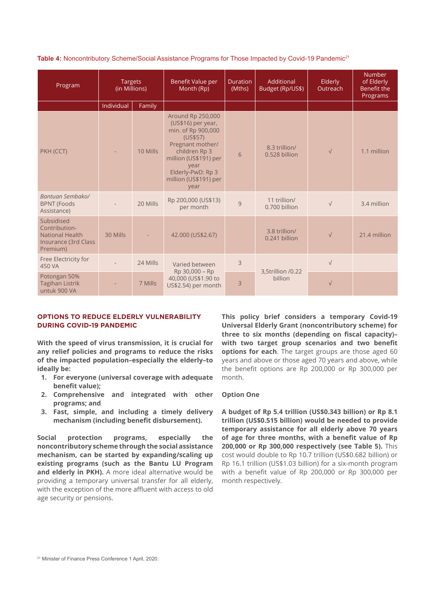**Table 4:** Noncontributory Scheme/Social Assistance Programs for Those Impacted by Covid-19 Pandemic<sup>21</sup>

| <b>Targets</b><br>Program<br>(in Millions)                                                |            | Benefit Value per<br>Month (Rp) | <b>Duration</b><br>(Mths)                                                                                                                                                                                    | Additional<br>Budget (Rp/US\$) | Elderly<br>Outreach            | <b>Number</b><br>of Elderly<br>Benefit the<br>Programs |              |
|-------------------------------------------------------------------------------------------|------------|---------------------------------|--------------------------------------------------------------------------------------------------------------------------------------------------------------------------------------------------------------|--------------------------------|--------------------------------|--------------------------------------------------------|--------------|
|                                                                                           | Individual | Family                          |                                                                                                                                                                                                              |                                |                                |                                                        |              |
| PKH (CCT)                                                                                 |            | 10 Mills                        | <b>Around Rp 250,000</b><br>(US\$16) per year,<br>min. of Rp 900,000<br>(US\$57)<br>Pregnant mother/<br>children Rp 3<br>million (US\$191) per<br>year<br>Elderly-PwD: Rp 3<br>million (US\$191) per<br>year | 6                              | 8.3 trillion/<br>0.528 billion | $\sqrt{}$                                              | 1.1 million  |
| Bantuan Sembako/<br><b>BPNT (Foods</b><br>Assistance)                                     |            | 20 Mills                        | Rp 200,000 (US\$13)<br>per month                                                                                                                                                                             | 9                              | 11 trillion/<br>0.700 billion  | $\sqrt{}$                                              | 3.4 million  |
| Subsidised<br>Contribution-<br><b>National Health</b><br>Insurance (3rd Class<br>Premium) | 30 Mills   |                                 | 42.000 (US\$2.67)                                                                                                                                                                                            |                                | 3.8 trillion/<br>0.241 billion | $\sqrt{}$                                              | 21.4 million |
| Free Electricity for<br>450 VA                                                            |            | 24 Mills                        | Varied between                                                                                                                                                                                               | 3                              |                                | $\sqrt{}$                                              |              |
| Potongan 50%<br><b>Tagihan Listrik</b><br>untuk 900 VA                                    |            | 7 Mills                         | Rp 30,000 - Rp<br>40,000 (US\$1.90 to<br>US\$2.54) per month                                                                                                                                                 | 3                              | 3,5trillion /0.22<br>billion   | $\sqrt{}$                                              |              |

#### **OPTIONS TO REDUCE ELDERLY VULNERABILITY DURING COVID-19 PANDEMIC**

**With the speed of virus transmission, it is crucial for any relief policies and programs to reduce the risks of the impacted population–especially the elderly–to ideally be:** 

- **1. For everyone (universal coverage with adequate benefit value);**
- **2. Comprehensive and integrated with other programs; and**
- **3. Fast, simple, and including a timely delivery mechanism (including benefit disbursement).**

**Social protection programs, especially the noncontributory scheme through the social assistance mechanism, can be started by expanding/scaling up existing programs (such as the Bantu LU Program and elderly in PKH).** A more ideal alternative would be providing a temporary universal transfer for all elderly, with the exception of the more affluent with access to old age security or pensions.

**This policy brief considers a temporary Covid-19 Universal Elderly Grant (noncontributory scheme) for three to six months (depending on fiscal capacity)– with two target group scenarios and two benefit options for each**. The target groups are those aged 60 years and above or those aged 70 years and above, while the benefit options are Rp 200,000 or Rp 300,000 per month.

#### **Option One**

**A budget of Rp 5.4 trillion (US\$0.343 billion) or Rp 8.1 trillion (US\$0.515 billion) would be needed to provide temporary assistance for all elderly above 70 years of age for three months, with a benefit value of Rp 200,000 or Rp 300,000 respectively (see Table 5).** This cost would double to Rp 10.7 trillion (US\$0.682 billion) or Rp 16.1 trillion (US\$1.03 billion) for a six-month program with a benefit value of Rp 200,000 or Rp 300,000 per month respectively.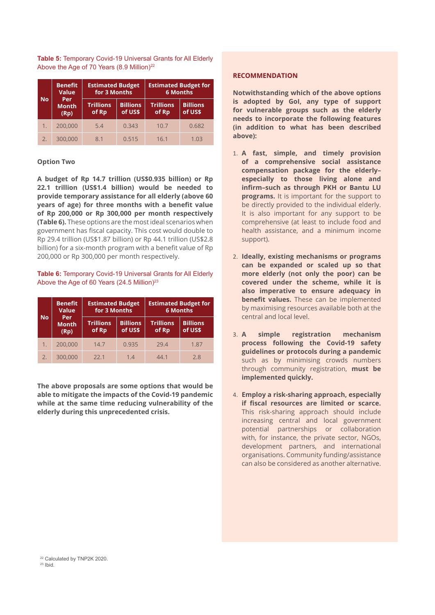**Table 5:** Temporary Covid-19 Universal Grants for All Elderly Above the Age of 70 Years (8.9 Million)<sup>22</sup>

|           | <b>Benefit</b><br><b>Value</b> | <b>Estimated Budget</b><br>for 3 Months |                            | <b>Estimated Budget for</b><br><b>6 Months</b> |                            |
|-----------|--------------------------------|-----------------------------------------|----------------------------|------------------------------------------------|----------------------------|
| <b>No</b> | Per<br><b>Month</b><br>(Rp)    | <b>Trillions</b><br>of Rp               | <b>Billions</b><br>of US\$ | <b>Trillions</b><br>of Rp                      | <b>Billions</b><br>of US\$ |
|           | 200,000                        | 5.4                                     | 0.343                      | 10.7                                           | 0.682                      |
| 2.        | 300,000                        | 8.1                                     | 0.515                      | 16.1                                           | 1.03                       |

#### **Option Two**

**A budget of Rp 14.7 trillion (US\$0.935 billion) or Rp 22.1 trillion (US\$1.4 billion) would be needed to provide temporary assistance for all elderly (above 60 years of age) for three months with a benefit value of Rp 200,000 or Rp 300,000 per month respectively (Table 6).** These options are the most ideal scenarios when government has fiscal capacity. This cost would double to Rp 29.4 trillion (US\$1.87 billion) or Rp 44.1 trillion (US\$2.8 billion) for a six-month program with a benefit value of Rp 200,000 or Rp 300,000 per month respectively.

#### **Table 6:** Temporary Covid-19 Universal Grants for All Elderly Above the Age of 60 Years (24.5 Million)<sup>23</sup>

|           | <b>Benefit</b><br><b>Value</b> | <b>Estimated Budget</b><br>for 3 Months |                            | <b>Estimated Budget for</b><br><b>6 Months</b> |                            |
|-----------|--------------------------------|-----------------------------------------|----------------------------|------------------------------------------------|----------------------------|
| <b>No</b> | Per<br><b>Month</b><br>(Rp)    | <b>Trillions</b><br>of Rp               | <b>Billions</b><br>of US\$ | <b>Trillions</b><br>of Rp                      | <b>Billions</b><br>of US\$ |
| 1.        | 200,000                        | 14.7                                    | 0.935                      | 29.4                                           | 1.87                       |
| 2.        | 300,000                        | 22.1                                    | 1.4                        | 44.1                                           | 2.8                        |

**The above proposals are some options that would be able to mitigate the impacts of the Covid-19 pandemic while at the same time reducing vulnerability of the elderly during this unprecedented crisis.** 

#### **RECOMMENDATION**

**Notwithstanding which of the above options is adopted by GoI, any type of support for vulnerable groups such as the elderly needs to incorporate the following features (in addition to what has been described above):** 

- 1. **A fast, simple, and timely provision of a comprehensive social assistance compensation package for the elderly– especially to those living alone and infirm–such as through PKH or Bantu LU programs.** It is important for the support to be directly provided to the individual elderly. It is also important for any support to be comprehensive (at least to include food and health assistance, and a minimum income support).
- 2. **Ideally, existing mechanisms or programs can be expanded or scaled up so that more elderly (not only the poor) can be covered under the scheme, while it is also imperative to ensure adequacy in benefit values.** These can be implemented by maximising resources available both at the central and local level.
- 3. **A simple registration mechanism process following the Covid-19 safety guidelines or protocols during a pandemic** such as by minimising crowds numbers through community registration, **must be implemented quickly.**
- 4. **Employ a risk-sharing approach, especially if fiscal resources are limited or scarce.**  This risk-sharing approach should include increasing central and local government potential partnerships or collaboration with, for instance, the private sector, NGOs, development partners, and international organisations. Community funding/assistance can also be considered as another alternative.